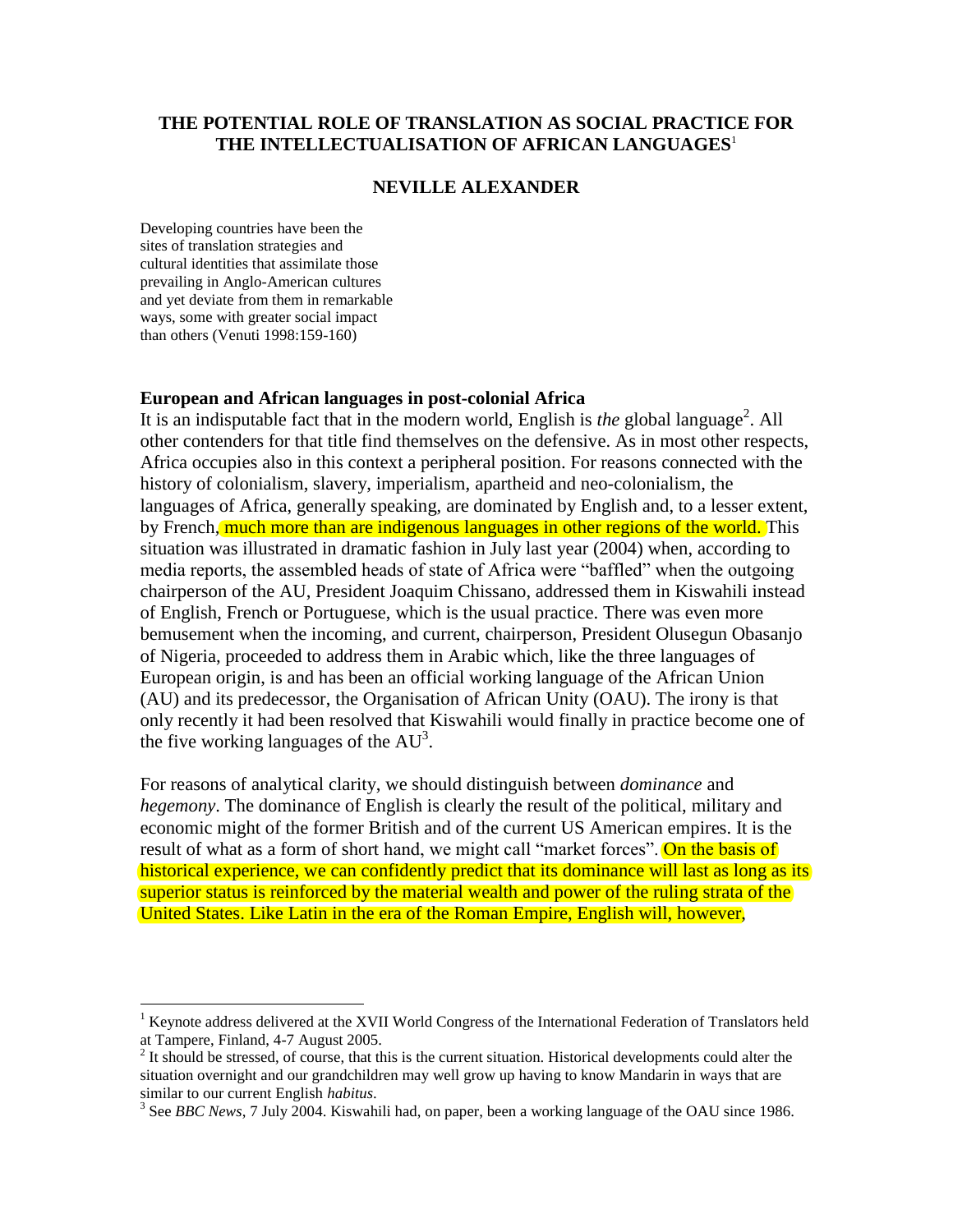## **THE POTENTIAL ROLE OF TRANSLATION AS SOCIAL PRACTICE FOR THE INTELLECTUALISATION OF AFRICAN LANGUAGES**<sup>1</sup>

## **NEVILLE ALEXANDER**

Developing countries have been the sites of translation strategies and cultural identities that assimilate those prevailing in Anglo-American cultures and yet deviate from them in remarkable ways, some with greater social impact than others (Venuti 1998:159-160)

 $\overline{a}$ 

## **European and African languages in post-colonial Africa**

It is an indisputable fact that in the modern world, English is *the* global language<sup>2</sup>. All other contenders for that title find themselves on the defensive. As in most other respects, Africa occupies also in this context a peripheral position. For reasons connected with the history of colonialism, slavery, imperialism, apartheid and neo-colonialism, the languages of Africa, generally speaking, are dominated by English and, to a lesser extent, by French, much more than are indigenous languages in other regions of the world. This situation was illustrated in dramatic fashion in July last year (2004) when, according to media reports, the assembled heads of state of Africa were "baffled" when the outgoing chairperson of the AU, President Joaquim Chissano, addressed them in Kiswahili instead of English, French or Portuguese, which is the usual practice. There was even more bemusement when the incoming, and current, chairperson, President Olusegun Obasanjo of Nigeria, proceeded to address them in Arabic which, like the three languages of European origin, is and has been an official working language of the African Union (AU) and its predecessor, the Organisation of African Unity (OAU). The irony is that only recently it had been resolved that Kiswahili would finally in practice become one of the five working languages of the  $AU^3$ .

For reasons of analytical clarity, we should distinguish between *dominance* and *hegemony*. The dominance of English is clearly the result of the political, military and economic might of the former British and of the current US American empires. It is the result of what as a form of short hand, we might call "market forces". On the basis of historical experience, we can confidently predict that its dominance will last as long as its superior status is reinforced by the material wealth and power of the ruling strata of the United States. Like Latin in the era of the Roman Empire, English will, however,

<sup>&</sup>lt;sup>1</sup> Keynote address delivered at the XVII World Congress of the International Federation of Translators held at Tampere, Finland, 4-7 August 2005.

 $2<sup>2</sup>$  It should be stressed, of course, that this is the current situation. Historical developments could alter the situation overnight and our grandchildren may well grow up having to know Mandarin in ways that are similar to our current English *habitus*.

<sup>&</sup>lt;sup>3</sup> See *BBC News*, 7 July 2004. Kiswahili had, on paper, been a working language of the OAU since 1986.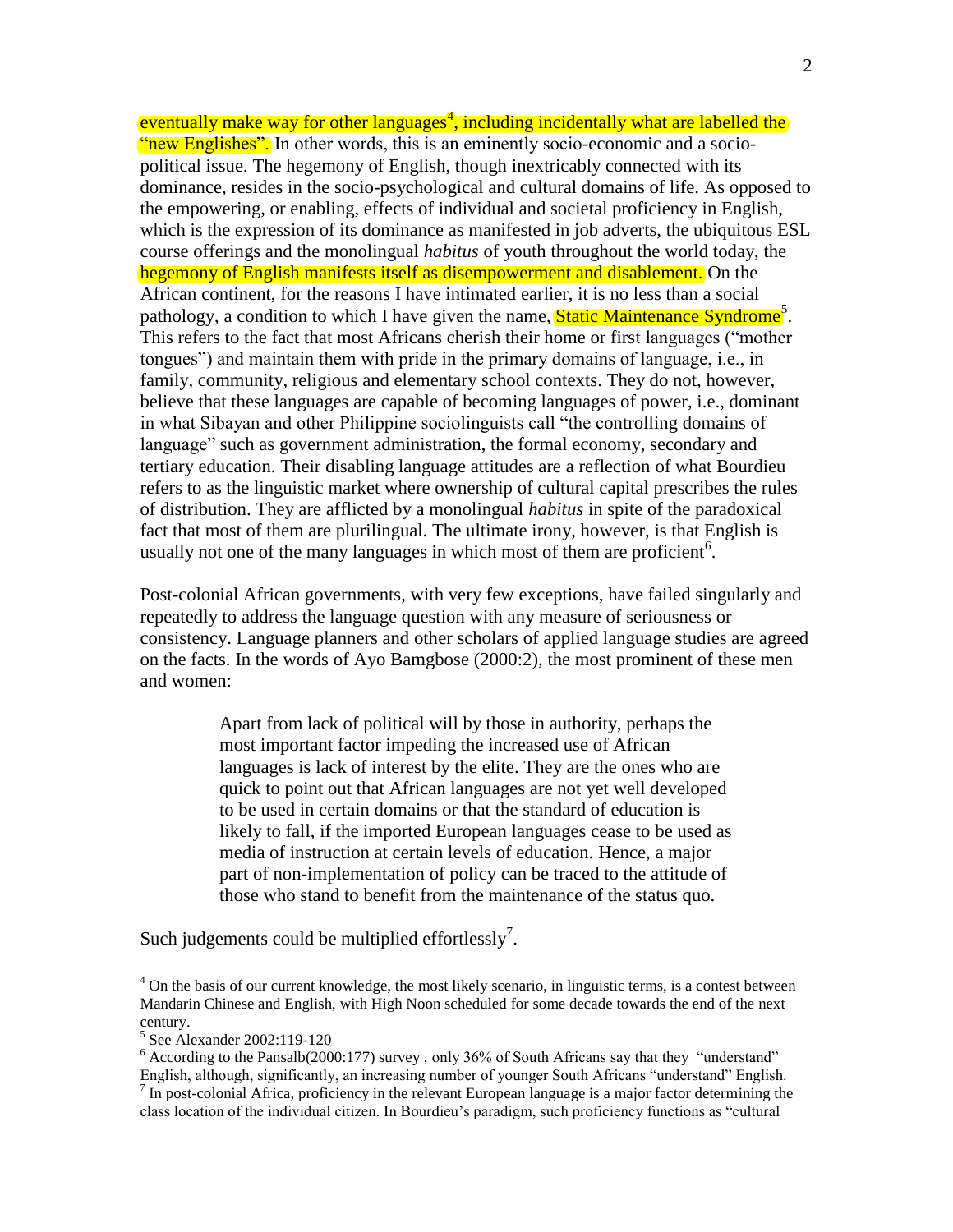eventually make way for other languages<sup>4</sup>, including incidentally what are labelled the "new Englishes". In other words, this is an eminently socio-economic and a sociopolitical issue. The hegemony of English, though inextricably connected with its dominance, resides in the socio-psychological and cultural domains of life. As opposed to the empowering, or enabling, effects of individual and societal proficiency in English, which is the expression of its dominance as manifested in job adverts, the ubiquitous ESL course offerings and the monolingual *habitus* of youth throughout the world today, the hegemony of English manifests itself as disempowerment and disablement. On the African continent, for the reasons I have intimated earlier, it is no less than a social pathology, a condition to which I have given the name, **Static Maintenance Syndrome**<sup>5</sup>. This refers to the fact that most Africans cherish their home or first languages ("mother tongues") and maintain them with pride in the primary domains of language, i.e., in family, community, religious and elementary school contexts. They do not, however, believe that these languages are capable of becoming languages of power, i.e., dominant in what Sibayan and other Philippine sociolinguists call "the controlling domains of language" such as government administration, the formal economy, secondary and tertiary education. Their disabling language attitudes are a reflection of what Bourdieu refers to as the linguistic market where ownership of cultural capital prescribes the rules of distribution. They are afflicted by a monolingual *habitus* in spite of the paradoxical fact that most of them are plurilingual. The ultimate irony, however, is that English is usually not one of the many languages in which most of them are proficient<sup>6</sup>.

Post-colonial African governments, with very few exceptions, have failed singularly and repeatedly to address the language question with any measure of seriousness or consistency. Language planners and other scholars of applied language studies are agreed on the facts. In the words of Ayo Bamgbose (2000:2), the most prominent of these men and women:

> Apart from lack of political will by those in authority, perhaps the most important factor impeding the increased use of African languages is lack of interest by the elite. They are the ones who are quick to point out that African languages are not yet well developed to be used in certain domains or that the standard of education is likely to fall, if the imported European languages cease to be used as media of instruction at certain levels of education. Hence, a major part of non-implementation of policy can be traced to the attitude of those who stand to benefit from the maintenance of the status quo.

Such judgements could be multiplied effortlessly<sup>7</sup>.

<sup>&</sup>lt;sup>4</sup> On the basis of our current knowledge, the most likely scenario, in linguistic terms, is a contest between Mandarin Chinese and English, with High Noon scheduled for some decade towards the end of the next century.

<sup>5</sup> See Alexander 2002:119-120

<sup>6</sup> According to the Pansalb(2000:177) survey , only 36% of South Africans say that they "understand"

English, although, significantly, an increasing number of younger South Africans "understand" English.<br><sup>7</sup> In post-colonial Africa, proficiency in the relevant European language is a major factor determining the class location of the individual citizen. In Bourdieu's paradigm, such proficiency functions as "cultural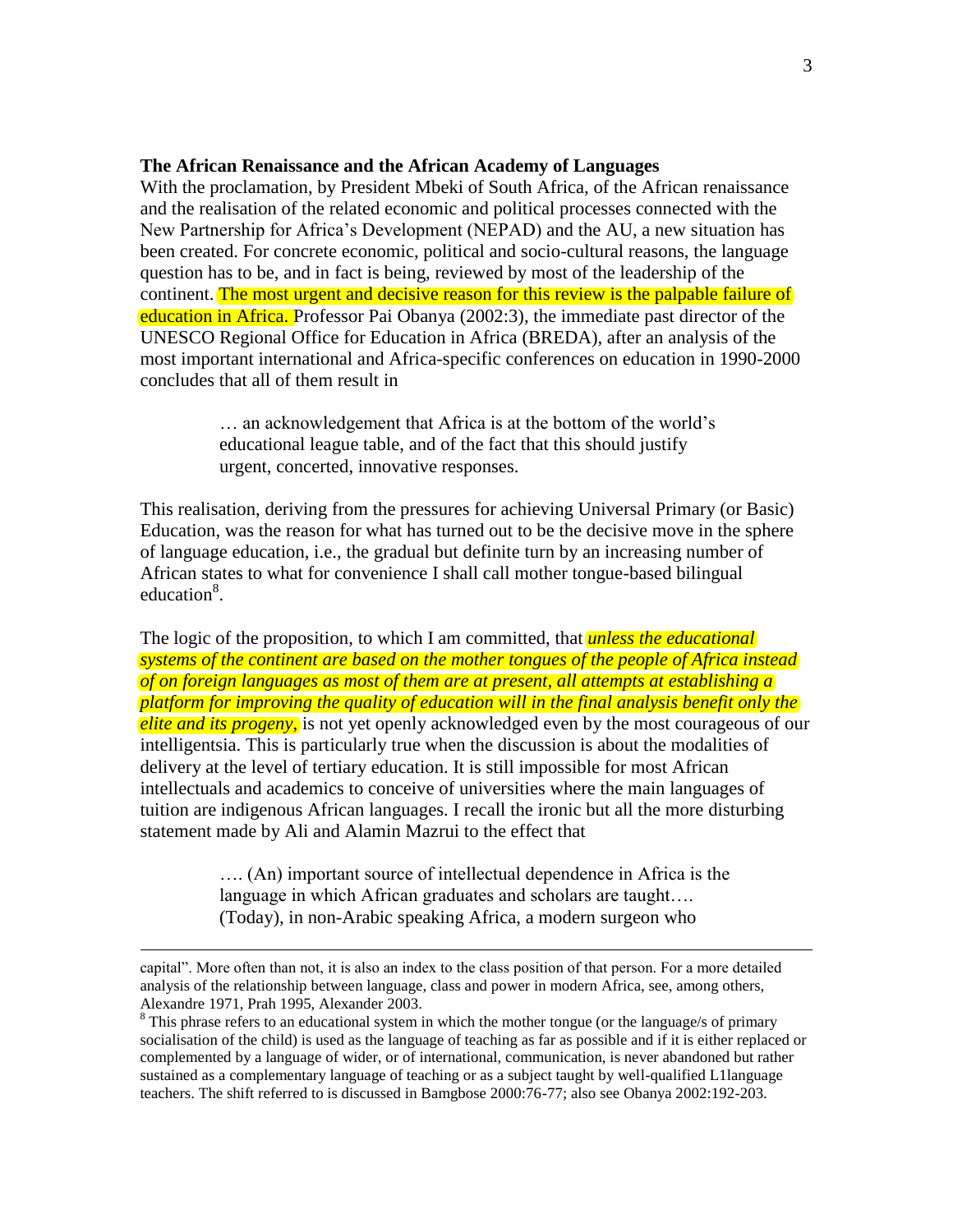#### **The African Renaissance and the African Academy of Languages**

With the proclamation, by President Mbeki of South Africa, of the African renaissance and the realisation of the related economic and political processes connected with the New Partnership for Africa's Development (NEPAD) and the AU, a new situation has been created. For concrete economic, political and socio-cultural reasons, the language question has to be, and in fact is being, reviewed by most of the leadership of the continent. The most urgent and decisive reason for this review is the palpable failure of education in Africa. Professor Pai Obanya (2002:3), the immediate past director of the UNESCO Regional Office for Education in Africa (BREDA), after an analysis of the most important international and Africa-specific conferences on education in 1990-2000 concludes that all of them result in

> … an acknowledgement that Africa is at the bottom of the world's educational league table, and of the fact that this should justify urgent, concerted, innovative responses.

This realisation, deriving from the pressures for achieving Universal Primary (or Basic) Education, was the reason for what has turned out to be the decisive move in the sphere of language education, i.e., the gradual but definite turn by an increasing number of African states to what for convenience I shall call mother tongue-based bilingual education<sup>8</sup>.

The logic of the proposition, to which I am committed, that *unless the educational systems of the continent are based on the mother tongues of the people of Africa instead of on foreign languages as most of them are at present, all attempts at establishing a platform for improving the quality of education will in the final analysis benefit only the elite and its progeny*, is not yet openly acknowledged even by the most courageous of our intelligentsia. This is particularly true when the discussion is about the modalities of delivery at the level of tertiary education. It is still impossible for most African intellectuals and academics to conceive of universities where the main languages of tuition are indigenous African languages. I recall the ironic but all the more disturbing statement made by Ali and Alamin Mazrui to the effect that

> …. (An) important source of intellectual dependence in Africa is the language in which African graduates and scholars are taught…. (Today), in non-Arabic speaking Africa, a modern surgeon who

capital". More often than not, it is also an index to the class position of that person. For a more detailed analysis of the relationship between language, class and power in modern Africa, see, among others, Alexandre 1971, Prah 1995, Alexander 2003.

<sup>&</sup>lt;sup>8</sup> This phrase refers to an educational system in which the mother tongue (or the language/s of primary socialisation of the child) is used as the language of teaching as far as possible and if it is either replaced or complemented by a language of wider, or of international, communication, is never abandoned but rather sustained as a complementary language of teaching or as a subject taught by well-qualified L1language teachers. The shift referred to is discussed in Bamgbose 2000:76-77; also see Obanya 2002:192-203.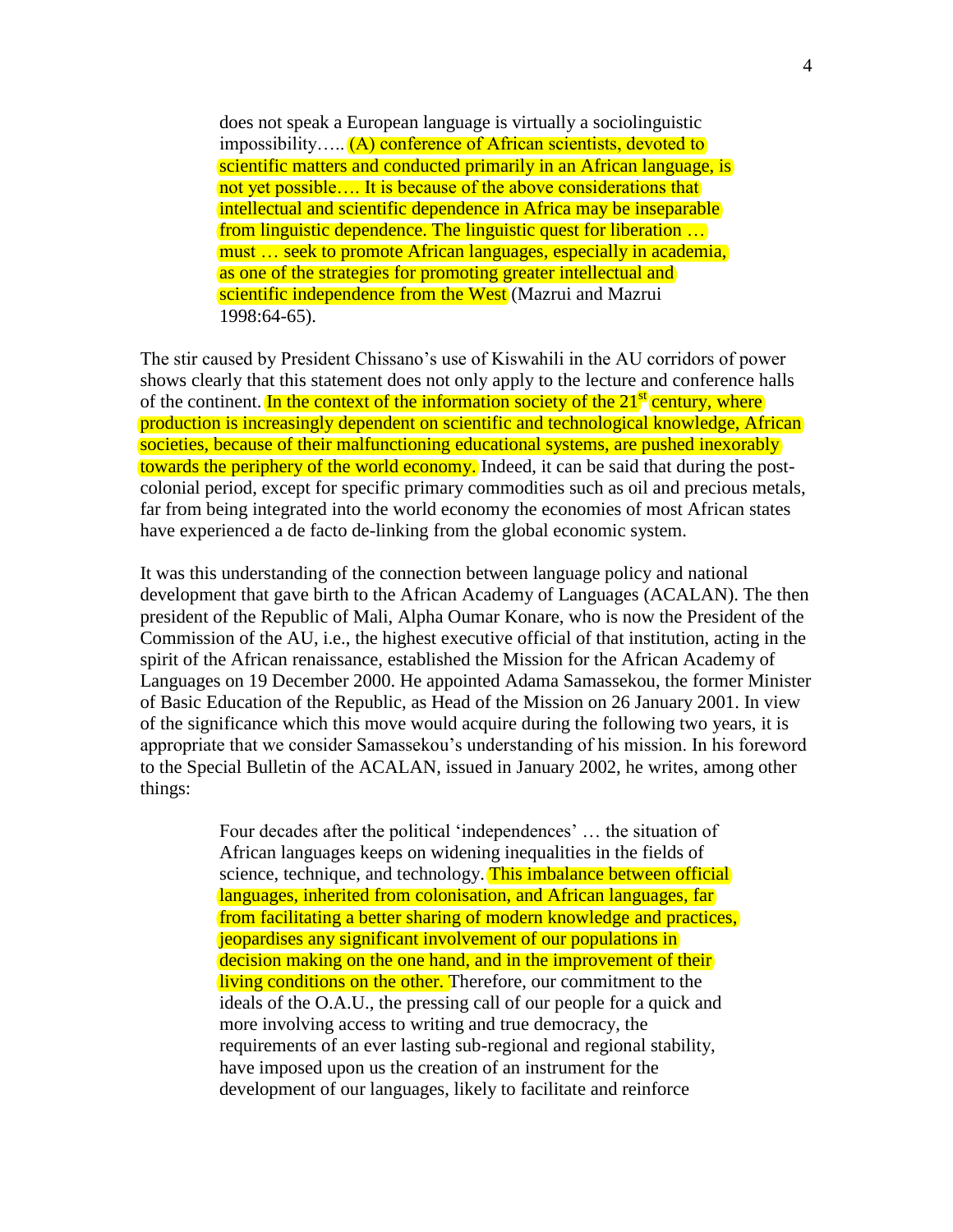does not speak a European language is virtually a sociolinguistic impossibility….. (A) conference of African scientists, devoted to scientific matters and conducted primarily in an African language, is not yet possible…. It is because of the above considerations that intellectual and scientific dependence in Africa may be inseparable from linguistic dependence. The linguistic quest for liberation … must … seek to promote African languages, especially in academia, as one of the strategies for promoting greater intellectual and scientific independence from the West (Mazrui and Mazrui 1998:64-65).

The stir caused by President Chissano's use of Kiswahili in the AU corridors of power shows clearly that this statement does not only apply to the lecture and conference halls of the continent. In the context of the information society of the  $21<sup>st</sup>$  century, where production is increasingly dependent on scientific and technological knowledge, African societies, because of their malfunctioning educational systems, are pushed inexorably towards the periphery of the world economy. Indeed, it can be said that during the postcolonial period, except for specific primary commodities such as oil and precious metals, far from being integrated into the world economy the economies of most African states have experienced a de facto de-linking from the global economic system.

It was this understanding of the connection between language policy and national development that gave birth to the African Academy of Languages (ACALAN). The then president of the Republic of Mali, Alpha Oumar Konare, who is now the President of the Commission of the AU, i.e., the highest executive official of that institution, acting in the spirit of the African renaissance, established the Mission for the African Academy of Languages on 19 December 2000. He appointed Adama Samassekou, the former Minister of Basic Education of the Republic, as Head of the Mission on 26 January 2001. In view of the significance which this move would acquire during the following two years, it is appropriate that we consider Samassekou's understanding of his mission. In his foreword to the Special Bulletin of the ACALAN, issued in January 2002, he writes, among other things:

> Four decades after the political 'independences' … the situation of African languages keeps on widening inequalities in the fields of science, technique, and technology. This imbalance between official languages, inherited from colonisation, and African languages, far from facilitating a better sharing of modern knowledge and practices, jeopardises any significant involvement of our populations in decision making on the one hand, and in the improvement of their living conditions on the other. Therefore, our commitment to the ideals of the O.A.U., the pressing call of our people for a quick and more involving access to writing and true democracy, the requirements of an ever lasting sub-regional and regional stability, have imposed upon us the creation of an instrument for the development of our languages, likely to facilitate and reinforce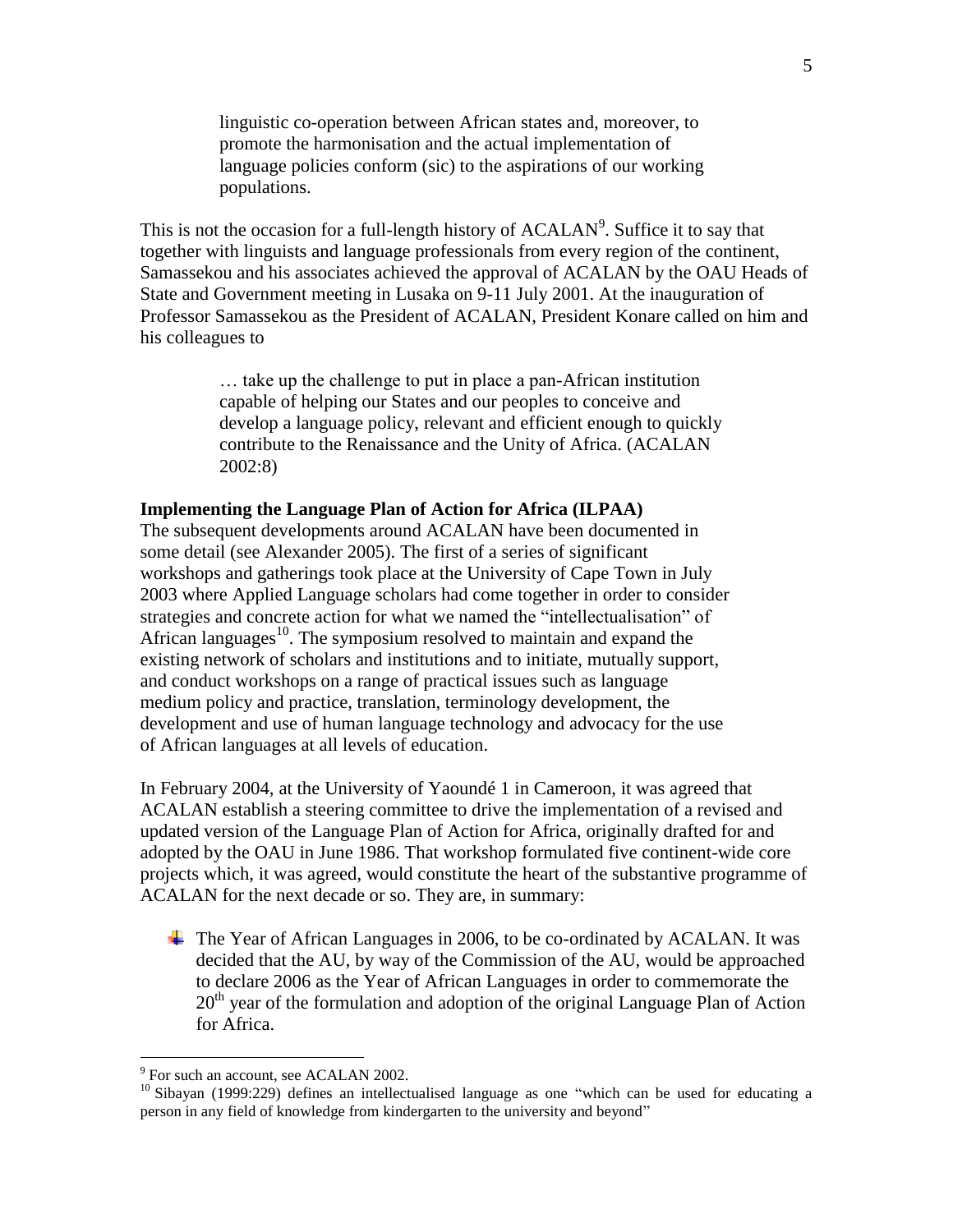linguistic co-operation between African states and, moreover, to promote the harmonisation and the actual implementation of language policies conform (sic) to the aspirations of our working populations.

This is not the occasion for a full-length history of  $\text{ACALAN}^9$ . Suffice it to say that together with linguists and language professionals from every region of the continent, Samassekou and his associates achieved the approval of ACALAN by the OAU Heads of State and Government meeting in Lusaka on 9-11 July 2001. At the inauguration of Professor Samassekou as the President of ACALAN, President Konare called on him and his colleagues to

> … take up the challenge to put in place a pan-African institution capable of helping our States and our peoples to conceive and develop a language policy, relevant and efficient enough to quickly contribute to the Renaissance and the Unity of Africa. (ACALAN 2002:8)

### **Implementing the Language Plan of Action for Africa (ILPAA)**

The subsequent developments around ACALAN have been documented in some detail (see Alexander 2005). The first of a series of significant workshops and gatherings took place at the University of Cape Town in July 2003 where Applied Language scholars had come together in order to consider strategies and concrete action for what we named the "intellectualisation" of African languages $^{10}$ . The symposium resolved to maintain and expand the existing network of scholars and institutions and to initiate, mutually support, and conduct workshops on a range of practical issues such as language medium policy and practice, translation, terminology development, the development and use of human language technology and advocacy for the use of African languages at all levels of education.

In February 2004, at the University of Yaoundé 1 in Cameroon, it was agreed that ACALAN establish a steering committee to drive the implementation of a revised and updated version of the Language Plan of Action for Africa, originally drafted for and adopted by the OAU in June 1986. That workshop formulated five continent-wide core projects which, it was agreed, would constitute the heart of the substantive programme of ACALAN for the next decade or so. They are, in summary:

The Year of African Languages in 2006, to be co-ordinated by ACALAN. It was decided that the AU, by way of the Commission of the AU, would be approached to declare 2006 as the Year of African Languages in order to commemorate the  $20<sup>th</sup>$  year of the formulation and adoption of the original Language Plan of Action for Africa.

<sup>&</sup>lt;sup>9</sup> For such an account, see ACALAN 2002.

<sup>&</sup>lt;sup>10</sup> Sibayan (1999:229) defines an intellectualised language as one "which can be used for educating a <sup>10</sup> Sibayan (1999:229) defines an intellectualised language as one "which can be used for educating a person in any field of knowledge from kindergarten to the university and beyond"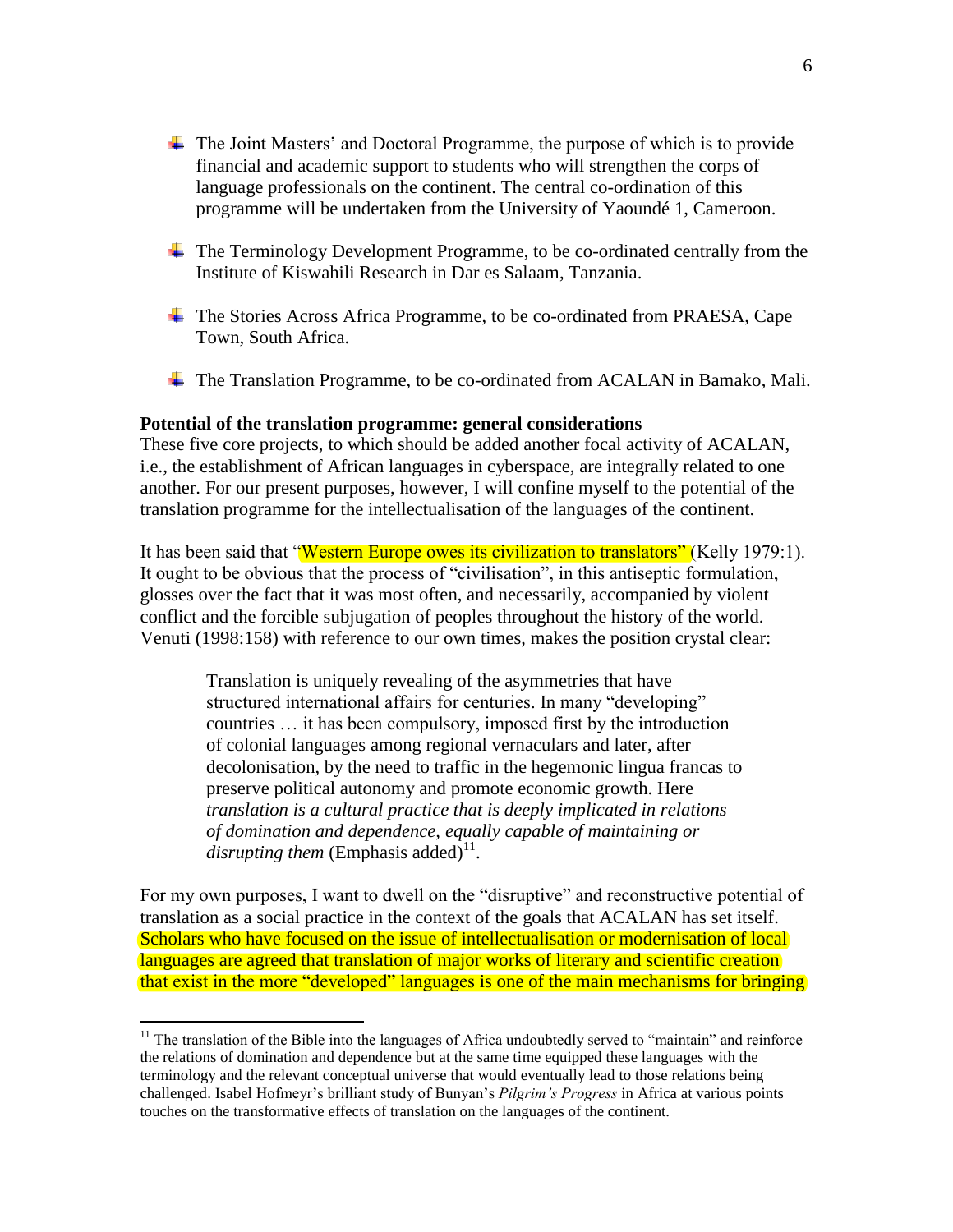- The Joint Masters' and Doctoral Programme, the purpose of which is to provide financial and academic support to students who will strengthen the corps of language professionals on the continent. The central co-ordination of this programme will be undertaken from the University of Yaoundé 1, Cameroon.
- The Terminology Development Programme, to be co-ordinated centrally from the Institute of Kiswahili Research in Dar es Salaam, Tanzania.
- The Stories Across Africa Programme, to be co-ordinated from PRAESA, Cape Town, South Africa.
- The Translation Programme, to be co-ordinated from ACALAN in Bamako, Mali.

#### **Potential of the translation programme: general considerations**

These five core projects, to which should be added another focal activity of ACALAN, i.e., the establishment of African languages in cyberspace, are integrally related to one another. For our present purposes, however, I will confine myself to the potential of the translation programme for the intellectualisation of the languages of the continent.

It has been said that "Western Europe owes its civilization to translators" (Kelly 1979:1). It ought to be obvious that the process of "civilisation", in this antiseptic formulation, glosses over the fact that it was most often, and necessarily, accompanied by violent conflict and the forcible subjugation of peoples throughout the history of the world. Venuti (1998:158) with reference to our own times, makes the position crystal clear:

Translation is uniquely revealing of the asymmetries that have structured international affairs for centuries. In many "developing" countries … it has been compulsory, imposed first by the introduction of colonial languages among regional vernaculars and later, after decolonisation, by the need to traffic in the hegemonic lingua francas to preserve political autonomy and promote economic growth. Here *translation is a cultural practice that is deeply implicated in relations of domination and dependence, equally capable of maintaining or*   $disrupting$  them (Emphasis added)<sup>11</sup>.

For my own purposes, I want to dwell on the "disruptive" and reconstructive potential of translation as a social practice in the context of the goals that ACALAN has set itself. Scholars who have focused on the issue of intellectualisation or modernisation of local languages are agreed that translation of major works of literary and scientific creation that exist in the more "developed" languages is one of the main mechanisms for bringing

 $11$  The translation of the Bible into the languages of Africa undoubtedly served to "maintain" and reinforce the relations of domination and dependence but at the same time equipped these languages with the terminology and the relevant conceptual universe that would eventually lead to those relations being challenged. Isabel Hofmeyr's brilliant study of Bunyan's *Pilgrim's Progress* in Africa at various points touches on the transformative effects of translation on the languages of the continent.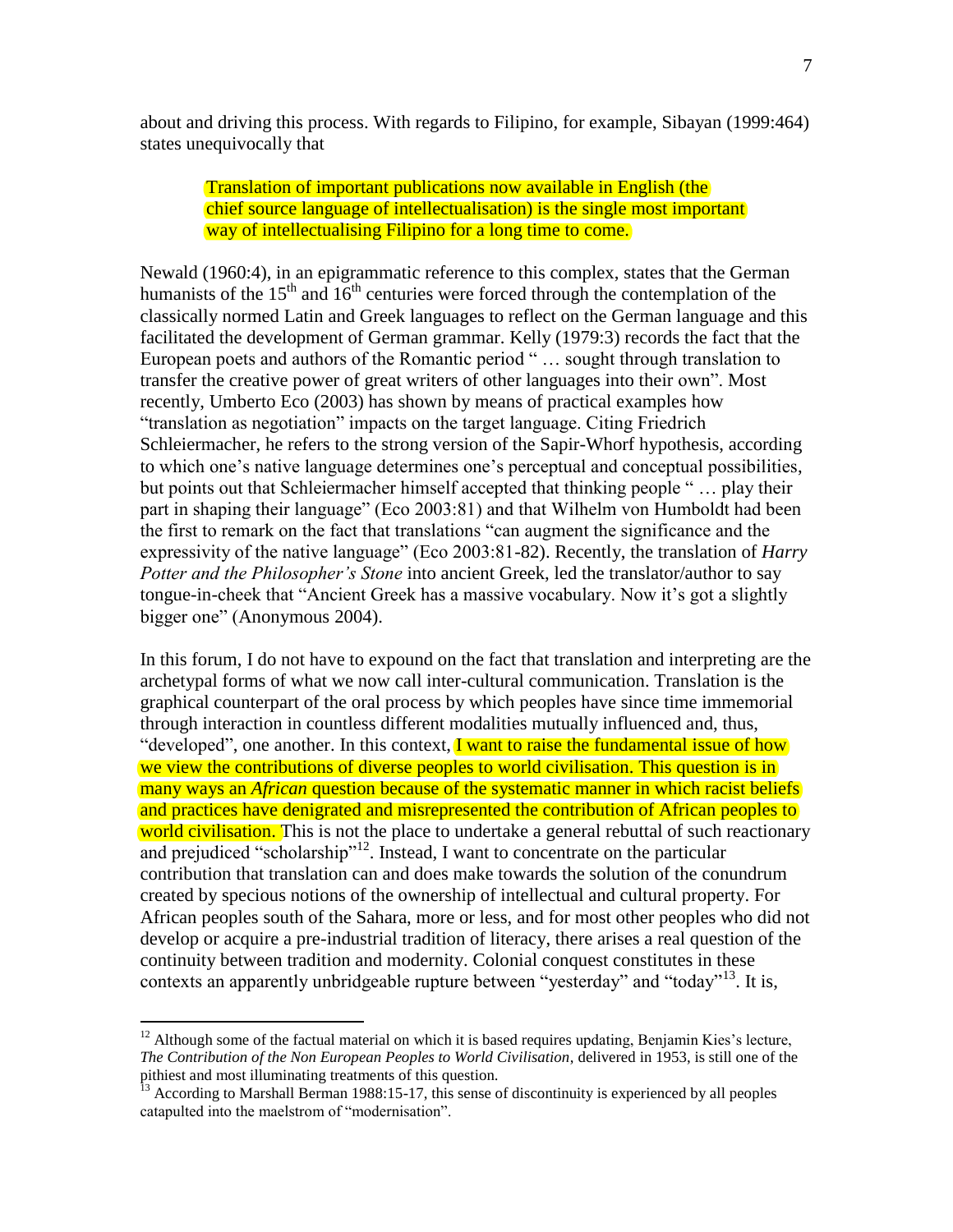about and driving this process. With regards to Filipino, for example, Sibayan (1999:464) states unequivocally that

# Translation of important publications now available in English (the chief source language of intellectualisation) is the single most important way of intellectualising Filipino for a long time to come.

Newald (1960:4), in an epigrammatic reference to this complex, states that the German humanists of the  $15<sup>th</sup>$  and  $16<sup>th</sup>$  centuries were forced through the contemplation of the classically normed Latin and Greek languages to reflect on the German language and this facilitated the development of German grammar. Kelly (1979:3) records the fact that the European poets and authors of the Romantic period " … sought through translation to transfer the creative power of great writers of other languages into their own". Most recently, Umberto Eco (2003) has shown by means of practical examples how "translation as negotiation" impacts on the target language. Citing Friedrich Schleiermacher, he refers to the strong version of the Sapir-Whorf hypothesis, according to which one's native language determines one's perceptual and conceptual possibilities, but points out that Schleiermacher himself accepted that thinking people " … play their part in shaping their language" (Eco 2003:81) and that Wilhelm von Humboldt had been the first to remark on the fact that translations "can augment the significance and the expressivity of the native language" (Eco 2003:81-82). Recently, the translation of *Harry Potter and the Philosopher's Stone* into ancient Greek, led the translator/author to say tongue-in-cheek that "Ancient Greek has a massive vocabulary. Now it's got a slightly bigger one" (Anonymous 2004).

In this forum, I do not have to expound on the fact that translation and interpreting are the archetypal forms of what we now call inter-cultural communication. Translation is the graphical counterpart of the oral process by which peoples have since time immemorial through interaction in countless different modalities mutually influenced and, thus, "developed", one another. In this context, I want to raise the fundamental issue of how we view the contributions of diverse peoples to world civilisation. This question is in many ways an *African* question because of the systematic manner in which racist beliefs and practices have denigrated and misrepresented the contribution of African peoples to world civilisation. This is not the place to undertake a general rebuttal of such reactionary and prejudiced "scholarship"<sup>12</sup>. Instead, I want to concentrate on the particular contribution that translation can and does make towards the solution of the conundrum created by specious notions of the ownership of intellectual and cultural property. For African peoples south of the Sahara, more or less, and for most other peoples who did not develop or acquire a pre-industrial tradition of literacy, there arises a real question of the continuity between tradition and modernity. Colonial conquest constitutes in these contexts an apparently unbridgeable rupture between "yesterday" and "today"<sup>13</sup>. It is,

 $12$  Although some of the factual material on which it is based requires updating, Benjamin Kies's lecture, *The Contribution of the Non European Peoples to World Civilisation*, delivered in 1953, is still one of the pithiest and most illuminating treatments of this question.

 $13$  According to Marshall Berman 1988:15-17, this sense of discontinuity is experienced by all peoples catapulted into the maelstrom of "modernisation".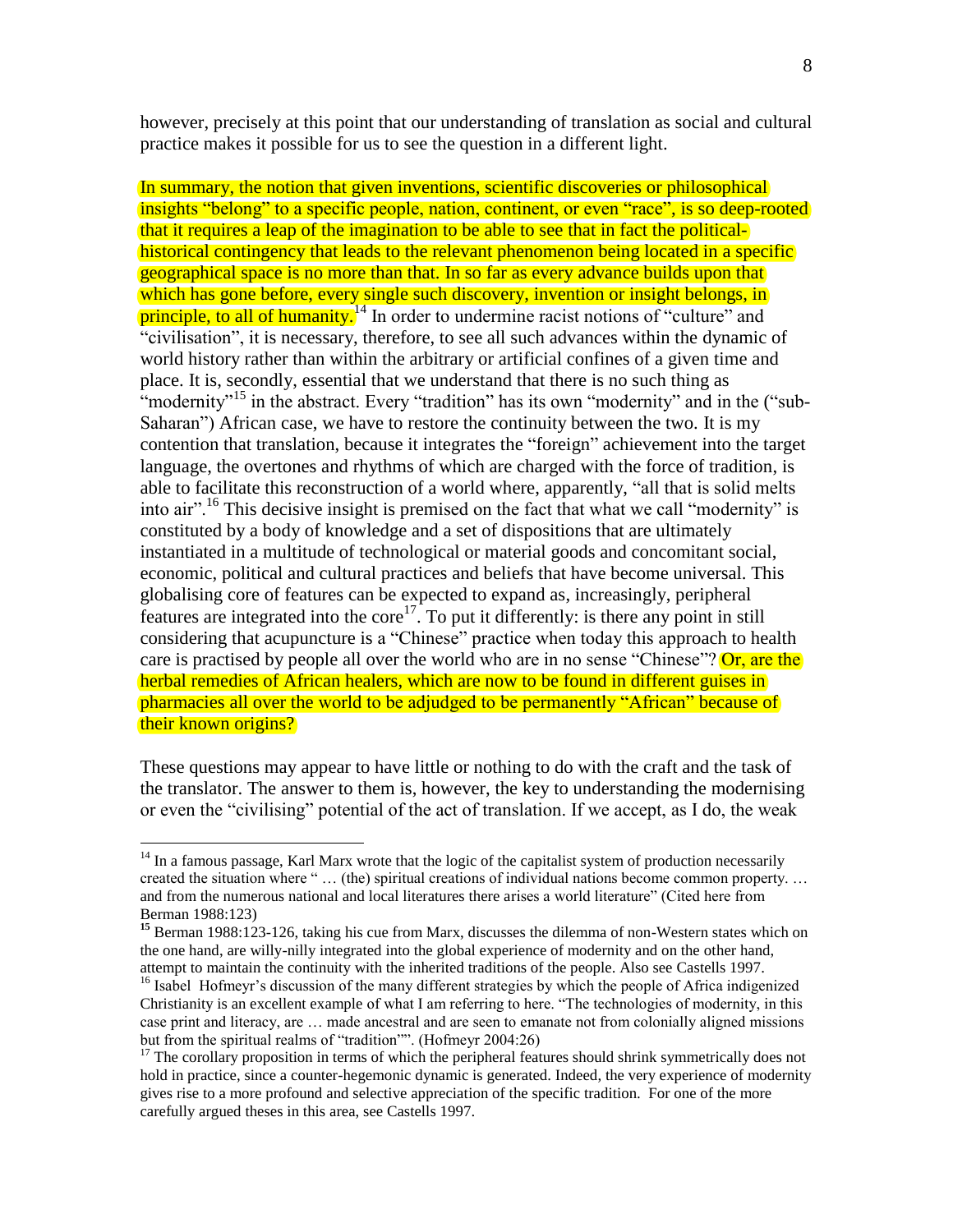however, precisely at this point that our understanding of translation as social and cultural practice makes it possible for us to see the question in a different light.

In summary, the notion that given inventions, scientific discoveries or philosophical insights "belong" to a specific people, nation, continent, or even "race", is so deep-rooted that it requires a leap of the imagination to be able to see that in fact the politicalhistorical contingency that leads to the relevant phenomenon being located in a specific geographical space is no more than that. In so far as every advance builds upon that which has gone before, every single such discovery, invention or insight belongs, in principle, to all of humanity.<sup>14</sup> In order to undermine racist notions of "culture" and "civilisation", it is necessary, therefore, to see all such advances within the dynamic of world history rather than within the arbitrary or artificial confines of a given time and place. It is, secondly, essential that we understand that there is no such thing as "modernity"<sup>15</sup> in the abstract. Every "tradition" has its own "modernity" and in the ("sub-Saharan") African case, we have to restore the continuity between the two. It is my contention that translation, because it integrates the "foreign" achievement into the target language, the overtones and rhythms of which are charged with the force of tradition, is able to facilitate this reconstruction of a world where, apparently, "all that is solid melts into air".<sup>16</sup> This decisive insight is premised on the fact that what we call "modernity" is constituted by a body of knowledge and a set of dispositions that are ultimately instantiated in a multitude of technological or material goods and concomitant social, economic, political and cultural practices and beliefs that have become universal. This globalising core of features can be expected to expand as, increasingly, peripheral features are integrated into the core<sup>17</sup>. To put it differently: is there any point in still considering that acupuncture is a "Chinese" practice when today this approach to health care is practised by people all over the world who are in no sense "Chinese"? Or, are the herbal remedies of African healers, which are now to be found in different guises in pharmacies all over the world to be adjudged to be permanently "African" because of their known origins?

These questions may appear to have little or nothing to do with the craft and the task of the translator. The answer to them is, however, the key to understanding the modernising or even the "civilising" potential of the act of translation. If we accept, as I do, the weak

 $14$  In a famous passage, Karl Marx wrote that the logic of the capitalist system of production necessarily created the situation where " … (the) spiritual creations of individual nations become common property. … and from the numerous national and local literatures there arises a world literature" (Cited here from Berman 1988:123)

**<sup>15</sup>** Berman 1988:123-126, taking his cue from Marx, discusses the dilemma of non-Western states which on the one hand, are willy-nilly integrated into the global experience of modernity and on the other hand, attempt to maintain the continuity with the inherited traditions of the people. Also see Castells 1997.

<sup>&</sup>lt;sup>16</sup> Isabel Hofmeyr's discussion of the many different strategies by which the people of Africa indigenized Christianity is an excellent example of what I am referring to here. "The technologies of modernity, in this case print and literacy, are … made ancestral and are seen to emanate not from colonially aligned missions but from the spiritual realms of "tradition"". (Hofmeyr 2004:26)

 $17$  The corollary proposition in terms of which the peripheral features should shrink symmetrically does not hold in practice, since a counter-hegemonic dynamic is generated. Indeed, the very experience of modernity gives rise to a more profound and selective appreciation of the specific tradition. For one of the more carefully argued theses in this area, see Castells 1997.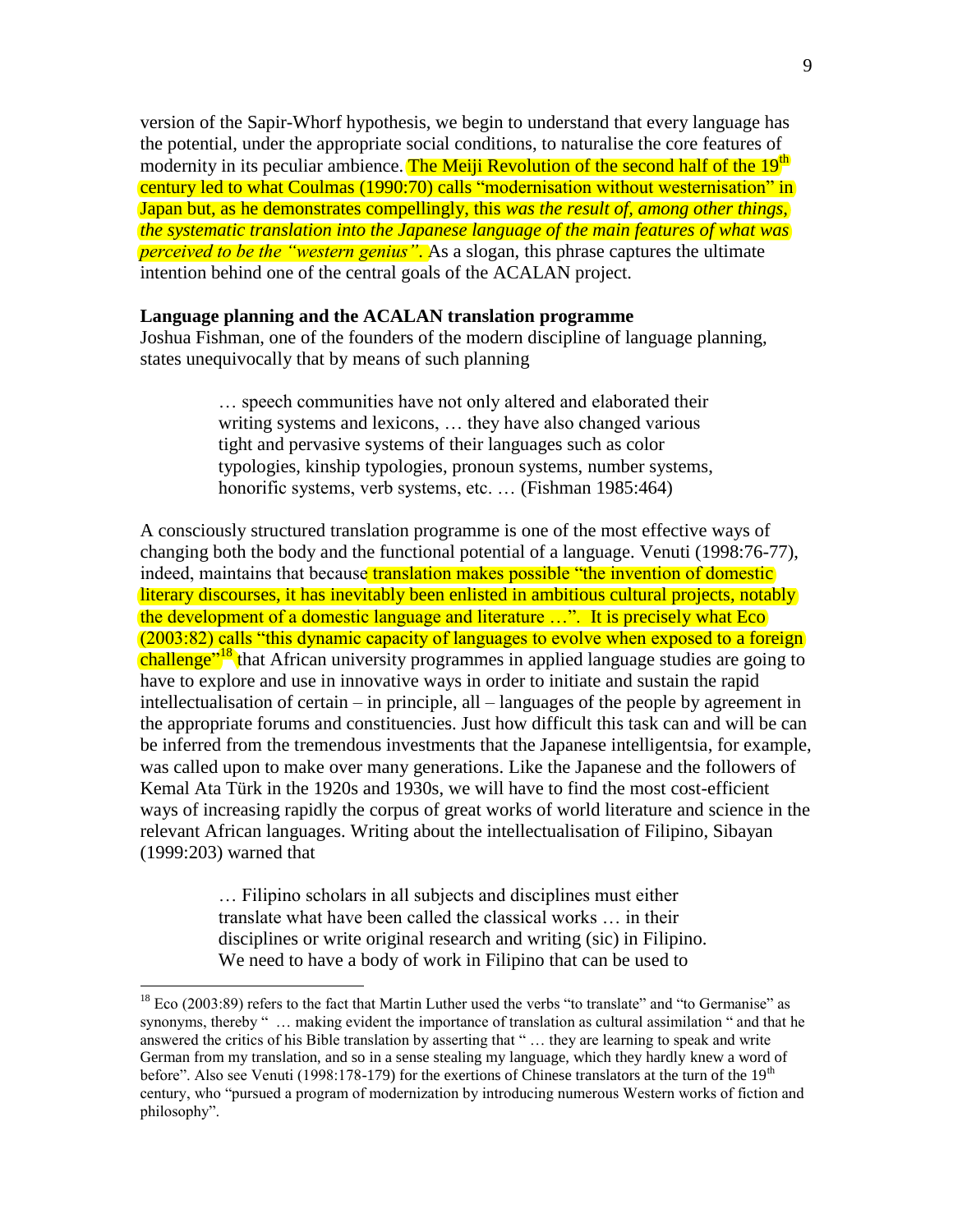version of the Sapir-Whorf hypothesis, we begin to understand that every language has the potential, under the appropriate social conditions, to naturalise the core features of modernity in its peculiar ambience. The Meiji Revolution of the second half of the 19<sup>th</sup> century led to what Coulmas (1990:70) calls "modernisation without westernisation" in Japan but, as he demonstrates compellingly, this *was the result of, among other things, the systematic translation into the Japanese language of the main features of what was perceived to be the "western genius"*. As a slogan, this phrase captures the ultimate intention behind one of the central goals of the ACALAN project.

#### **Language planning and the ACALAN translation programme**

Joshua Fishman, one of the founders of the modern discipline of language planning, states unequivocally that by means of such planning

> … speech communities have not only altered and elaborated their writing systems and lexicons, … they have also changed various tight and pervasive systems of their languages such as color typologies, kinship typologies, pronoun systems, number systems, honorific systems, verb systems, etc. ... (Fishman 1985:464)

A consciously structured translation programme is one of the most effective ways of changing both the body and the functional potential of a language. Venuti (1998:76-77), indeed, maintains that because translation makes possible "the invention of domestic" literary discourses, it has inevitably been enlisted in ambitious cultural projects, notably the development of a domestic language and literature …". It is precisely what Eco (2003:82) calls "this dynamic capacity of languages to evolve when exposed to a foreign challenge<sup>"18</sup> that African university programmes in applied language studies are going to have to explore and use in innovative ways in order to initiate and sustain the rapid intellectualisation of certain – in principle, all – languages of the people by agreement in the appropriate forums and constituencies. Just how difficult this task can and will be can be inferred from the tremendous investments that the Japanese intelligentsia, for example, was called upon to make over many generations. Like the Japanese and the followers of Kemal Ata Türk in the 1920s and 1930s, we will have to find the most cost-efficient ways of increasing rapidly the corpus of great works of world literature and science in the relevant African languages. Writing about the intellectualisation of Filipino, Sibayan (1999:203) warned that

> … Filipino scholars in all subjects and disciplines must either translate what have been called the classical works … in their disciplines or write original research and writing (sic) in Filipino. We need to have a body of work in Filipino that can be used to

 $18$  Eco (2003:89) refers to the fact that Martin Luther used the verbs "to translate" and "to Germanise" as synonyms, thereby " … making evident the importance of translation as cultural assimilation " and that he answered the critics of his Bible translation by asserting that " … they are learning to speak and write German from my translation, and so in a sense stealing my language, which they hardly knew a word of before". Also see Venuti (1998:178-179) for the exertions of Chinese translators at the turn of the 19<sup>th</sup> century, who "pursued a program of modernization by introducing numerous Western works of fiction and philosophy".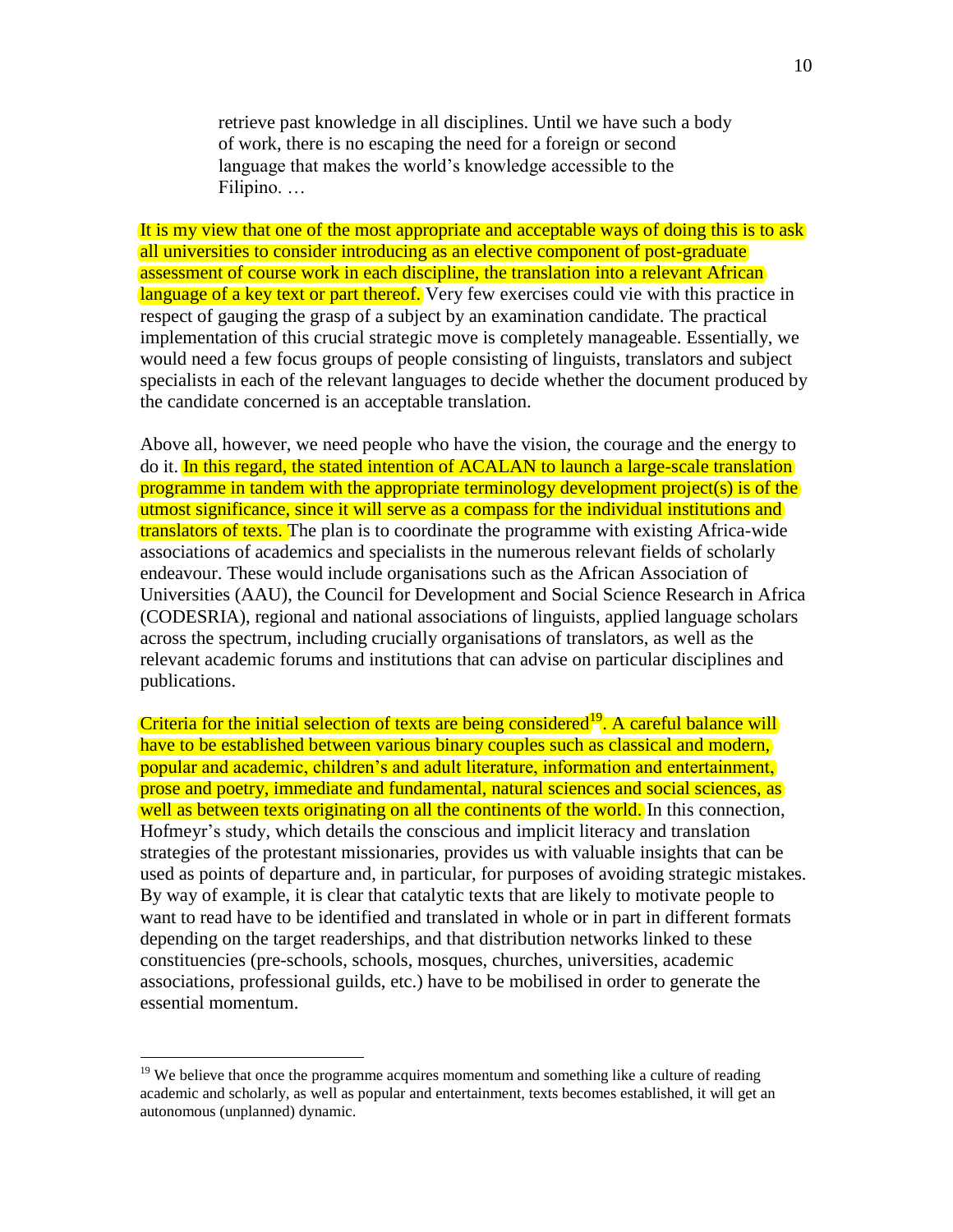retrieve past knowledge in all disciplines. Until we have such a body of work, there is no escaping the need for a foreign or second language that makes the world's knowledge accessible to the Filipino. …

It is my view that one of the most appropriate and acceptable ways of doing this is to ask all universities to consider introducing as an elective component of post-graduate assessment of course work in each discipline, the translation into a relevant African language of a key text or part thereof. Very few exercises could vie with this practice in respect of gauging the grasp of a subject by an examination candidate. The practical implementation of this crucial strategic move is completely manageable. Essentially, we would need a few focus groups of people consisting of linguists, translators and subject specialists in each of the relevant languages to decide whether the document produced by the candidate concerned is an acceptable translation.

Above all, however, we need people who have the vision, the courage and the energy to do it. In this regard, the stated intention of ACALAN to launch a large-scale translation programme in tandem with the appropriate terminology development project(s) is of the utmost significance, since it will serve as a compass for the individual institutions and translators of texts. The plan is to coordinate the programme with existing Africa-wide associations of academics and specialists in the numerous relevant fields of scholarly endeavour. These would include organisations such as the African Association of Universities (AAU), the Council for Development and Social Science Research in Africa (CODESRIA), regional and national associations of linguists, applied language scholars across the spectrum, including crucially organisations of translators, as well as the relevant academic forums and institutions that can advise on particular disciplines and publications.

Criteria for the initial selection of texts are being considered<sup>19</sup>. A careful balance will have to be established between various binary couples such as classical and modern, popular and academic, children's and adult literature, information and entertainment, prose and poetry, immediate and fundamental, natural sciences and social sciences, as well as between texts originating on all the continents of the world. In this connection, Hofmeyr's study, which details the conscious and implicit literacy and translation strategies of the protestant missionaries, provides us with valuable insights that can be used as points of departure and, in particular, for purposes of avoiding strategic mistakes. By way of example, it is clear that catalytic texts that are likely to motivate people to want to read have to be identified and translated in whole or in part in different formats depending on the target readerships, and that distribution networks linked to these constituencies (pre-schools, schools, mosques, churches, universities, academic associations, professional guilds, etc.) have to be mobilised in order to generate the essential momentum.

<sup>&</sup>lt;sup>19</sup> We believe that once the programme acquires momentum and something like a culture of reading academic and scholarly, as well as popular and entertainment, texts becomes established, it will get an autonomous (unplanned) dynamic.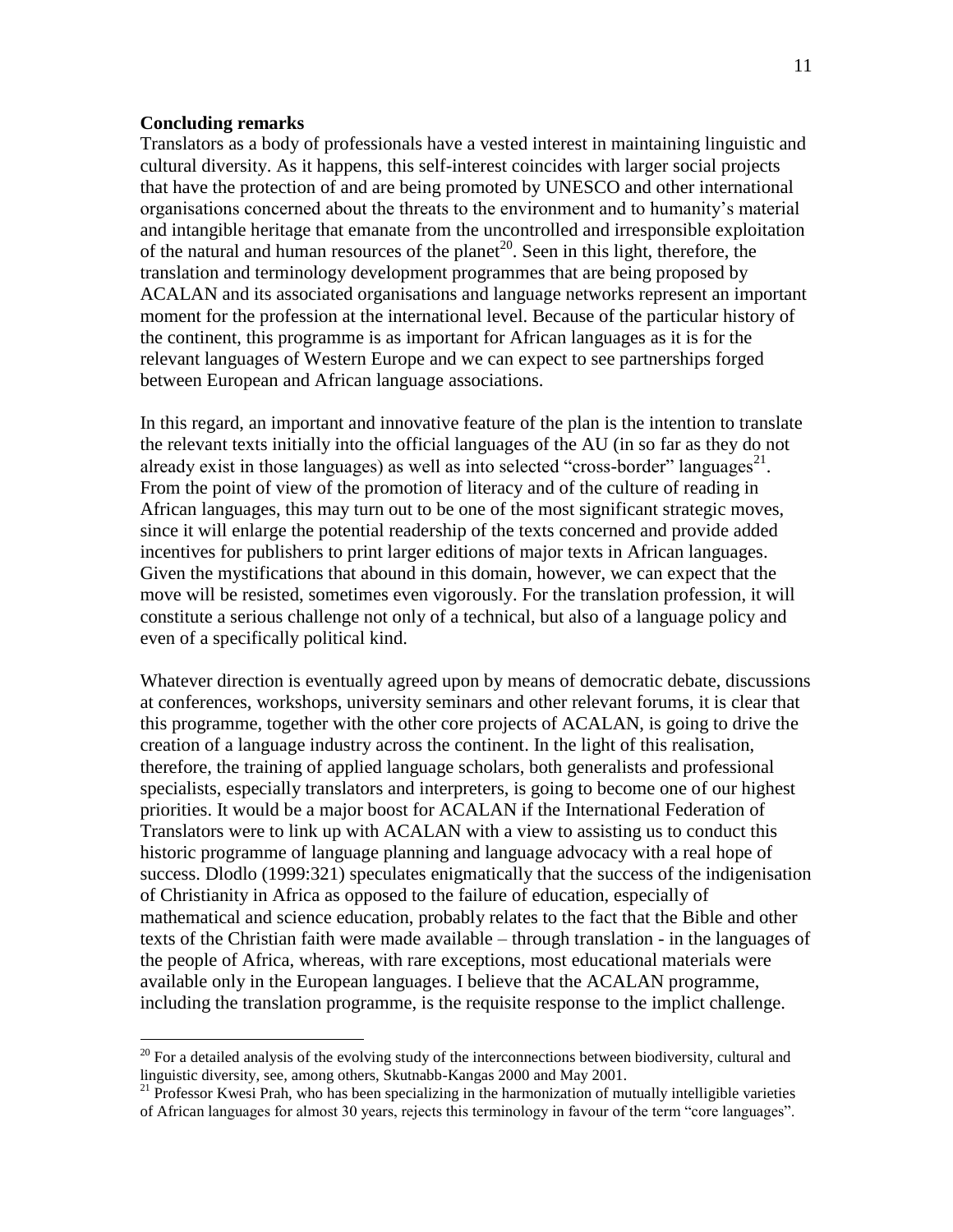#### **Concluding remarks**

 $\overline{a}$ 

Translators as a body of professionals have a vested interest in maintaining linguistic and cultural diversity. As it happens, this self-interest coincides with larger social projects that have the protection of and are being promoted by UNESCO and other international organisations concerned about the threats to the environment and to humanity's material and intangible heritage that emanate from the uncontrolled and irresponsible exploitation of the natural and human resources of the planet<sup>20</sup>. Seen in this light, therefore, the translation and terminology development programmes that are being proposed by ACALAN and its associated organisations and language networks represent an important moment for the profession at the international level. Because of the particular history of the continent, this programme is as important for African languages as it is for the relevant languages of Western Europe and we can expect to see partnerships forged between European and African language associations.

In this regard, an important and innovative feature of the plan is the intention to translate the relevant texts initially into the official languages of the AU (in so far as they do not already exist in those languages) as well as into selected "cross-border" languages<sup>21</sup>. From the point of view of the promotion of literacy and of the culture of reading in African languages, this may turn out to be one of the most significant strategic moves, since it will enlarge the potential readership of the texts concerned and provide added incentives for publishers to print larger editions of major texts in African languages. Given the mystifications that abound in this domain, however, we can expect that the move will be resisted, sometimes even vigorously. For the translation profession, it will constitute a serious challenge not only of a technical, but also of a language policy and even of a specifically political kind.

Whatever direction is eventually agreed upon by means of democratic debate, discussions at conferences, workshops, university seminars and other relevant forums, it is clear that this programme, together with the other core projects of ACALAN, is going to drive the creation of a language industry across the continent. In the light of this realisation, therefore, the training of applied language scholars, both generalists and professional specialists, especially translators and interpreters, is going to become one of our highest priorities. It would be a major boost for ACALAN if the International Federation of Translators were to link up with ACALAN with a view to assisting us to conduct this historic programme of language planning and language advocacy with a real hope of success. Dlodlo (1999:321) speculates enigmatically that the success of the indigenisation of Christianity in Africa as opposed to the failure of education, especially of mathematical and science education, probably relates to the fact that the Bible and other texts of the Christian faith were made available – through translation - in the languages of the people of Africa, whereas, with rare exceptions, most educational materials were available only in the European languages. I believe that the ACALAN programme, including the translation programme, is the requisite response to the implict challenge.

 $20$  For a detailed analysis of the evolving study of the interconnections between biodiversity, cultural and linguistic diversity, see, among others, Skutnabb-Kangas 2000 and May 2001.

 $21$  Professor Kwesi Prah, who has been specializing in the harmonization of mutually intelligible varieties of African languages for almost 30 years, rejects this terminology in favour of the term "core languages".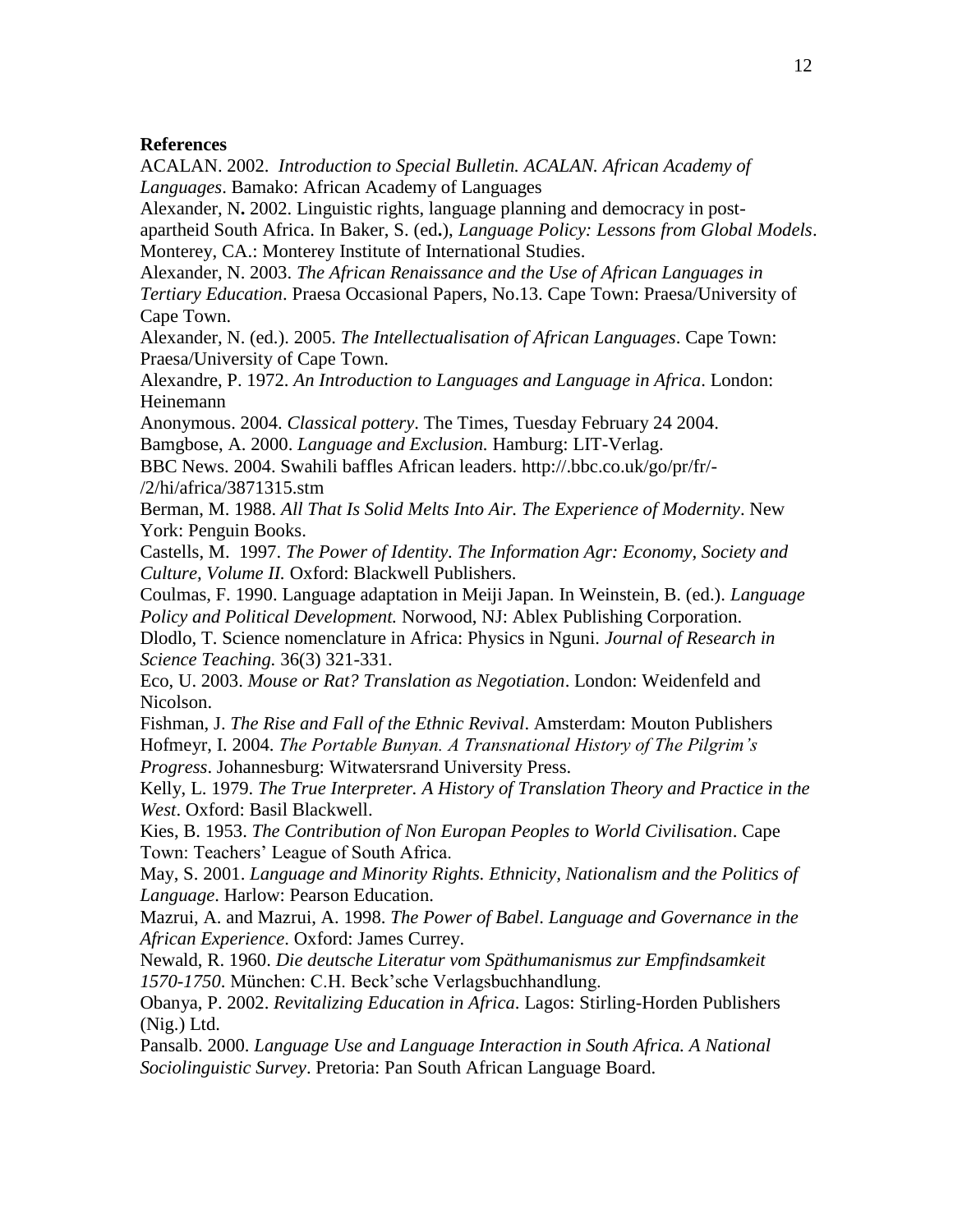## **References**

ACALAN. 2002. *Introduction to Special Bulletin. ACALAN. African Academy of Languages*. Bamako: African Academy of Languages

Alexander, N**.** 2002. Linguistic rights, language planning and democracy in postapartheid South Africa. In Baker, S. (ed**.**), *Language Policy: Lessons from Global Models*. Monterey, CA.: Monterey Institute of International Studies.

Alexander, N. 2003. *The African Renaissance and the Use of African Languages in Tertiary Education*. Praesa Occasional Papers, No.13. Cape Town: Praesa/University of Cape Town.

Alexander, N. (ed.). 2005. *The Intellectualisation of African Languages*. Cape Town: Praesa/University of Cape Town.

Alexandre, P. 1972. *An Introduction to Languages and Language in Africa*. London: Heinemann

Anonymous. 2004. *Classical pottery*. The Times, Tuesday February 24 2004. Bamgbose, A. 2000. *Language and Exclusion.* Hamburg: LIT-Verlag.

BBC News. 2004. Swahili baffles African leaders. http://.bbc.co.uk/go/pr/fr/- /2/hi/africa/3871315.stm

Berman, M. 1988. *All That Is Solid Melts Into Air. The Experience of Modernity*. New York: Penguin Books.

Castells, M. 1997. *The Power of Identity. The Information Agr: Economy, Society and Culture, Volume II.* Oxford: Blackwell Publishers.

Coulmas, F. 1990. Language adaptation in Meiji Japan. In Weinstein, B. (ed.). *Language Policy and Political Development.* Norwood, NJ: Ablex Publishing Corporation.

Dlodlo, T. Science nomenclature in Africa: Physics in Nguni. *Journal of Research in Science Teaching.* 36(3) 321-331.

Eco, U. 2003. *Mouse or Rat? Translation as Negotiation*. London: Weidenfeld and Nicolson.

Fishman, J. *The Rise and Fall of the Ethnic Revival*. Amsterdam: Mouton Publishers Hofmeyr, I. 2004. *The Portable Bunyan. A Transnational History of The Pilgrim's Progress*. Johannesburg: Witwatersrand University Press.

Kelly, L. 1979. *The True Interpreter. A History of Translation Theory and Practice in the West*. Oxford: Basil Blackwell.

Kies, B. 1953. *The Contribution of Non Europan Peoples to World Civilisation*. Cape Town: Teachers' League of South Africa.

May, S. 2001. *Language and Minority Rights. Ethnicity, Nationalism and the Politics of Language*. Harlow: Pearson Education.

Mazrui, A. and Mazrui, A. 1998. *The Power of Babel*. *Language and Governance in the African Experience*. Oxford: James Currey.

Newald, R. 1960. *Die deutsche Literatur vom Späthumanismus zur Empfindsamkeit 1570-1750*. München: C.H. Beck'sche Verlagsbuchhandlung.

Obanya, P. 2002. *Revitalizing Education in Africa*. Lagos: Stirling-Horden Publishers (Nig.) Ltd.

Pansalb. 2000. *Language Use and Language Interaction in South Africa. A National Sociolinguistic Survey*. Pretoria: Pan South African Language Board.